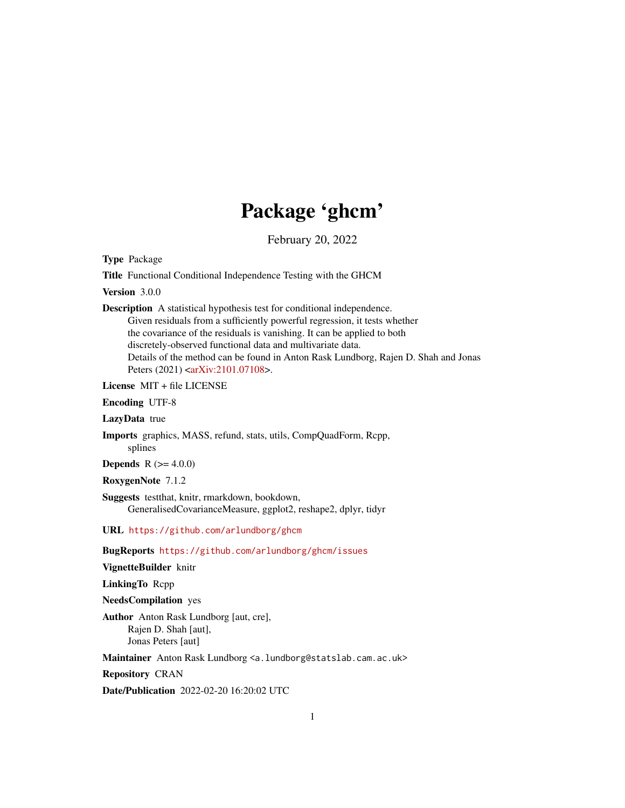## Package 'ghcm'

February 20, 2022

Type Package

Title Functional Conditional Independence Testing with the GHCM

Version 3.0.0

Description A statistical hypothesis test for conditional independence. Given residuals from a sufficiently powerful regression, it tests whether the covariance of the residuals is vanishing. It can be applied to both discretely-observed functional data and multivariate data. Details of the method can be found in Anton Rask Lundborg, Rajen D. Shah and Jonas Peters (2021) [<arXiv:2101.07108>](https://arxiv.org/abs/2101.07108).

License MIT + file LICENSE

Encoding UTF-8

LazyData true

Imports graphics, MASS, refund, stats, utils, CompQuadForm, Rcpp, splines

**Depends** R  $(>= 4.0.0)$ 

RoxygenNote 7.1.2

Suggests testthat, knitr, rmarkdown, bookdown, GeneralisedCovarianceMeasure, ggplot2, reshape2, dplyr, tidyr

URL <https://github.com/arlundborg/ghcm>

BugReports <https://github.com/arlundborg/ghcm/issues>

VignetteBuilder knitr

LinkingTo Rcpp

NeedsCompilation yes

Author Anton Rask Lundborg [aut, cre], Rajen D. Shah [aut], Jonas Peters [aut]

Maintainer Anton Rask Lundborg <a.lundborg@statslab.cam.ac.uk>

Repository CRAN

Date/Publication 2022-02-20 16:20:02 UTC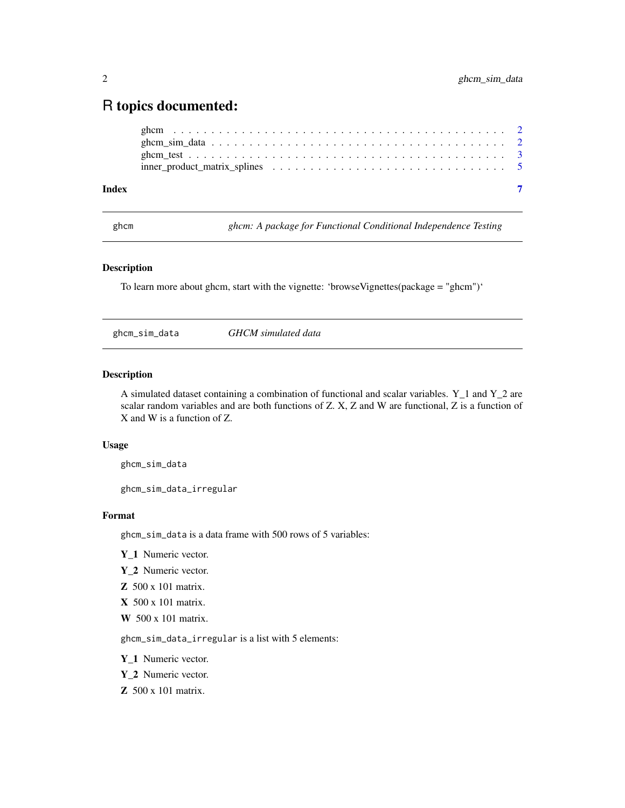### <span id="page-1-0"></span>R topics documented:

#### **Index** [7](#page-6-0) **7**

ghcm *ghcm: A package for Functional Conditional Independence Testing*

#### Description

To learn more about ghcm, start with the vignette: 'browseVignettes(package = "ghcm")'

ghcm\_sim\_data *GHCM simulated data*

#### Description

A simulated dataset containing a combination of functional and scalar variables. Y\_1 and Y\_2 are scalar random variables and are both functions of Z. X, Z and W are functional, Z is a function of X and W is a function of Z.

#### Usage

ghcm\_sim\_data

ghcm\_sim\_data\_irregular

#### Format

ghcm\_sim\_data is a data frame with 500 rows of 5 variables:

- Y\_1 Numeric vector.
- Y 2 Numeric vector.
- Z 500 x 101 matrix.
- X 500 x 101 matrix.
- W 500 x 101 matrix.

ghcm\_sim\_data\_irregular is a list with 5 elements:

- Y\_1 Numeric vector.
- Y\_2 Numeric vector.
- Z 500 x 101 matrix.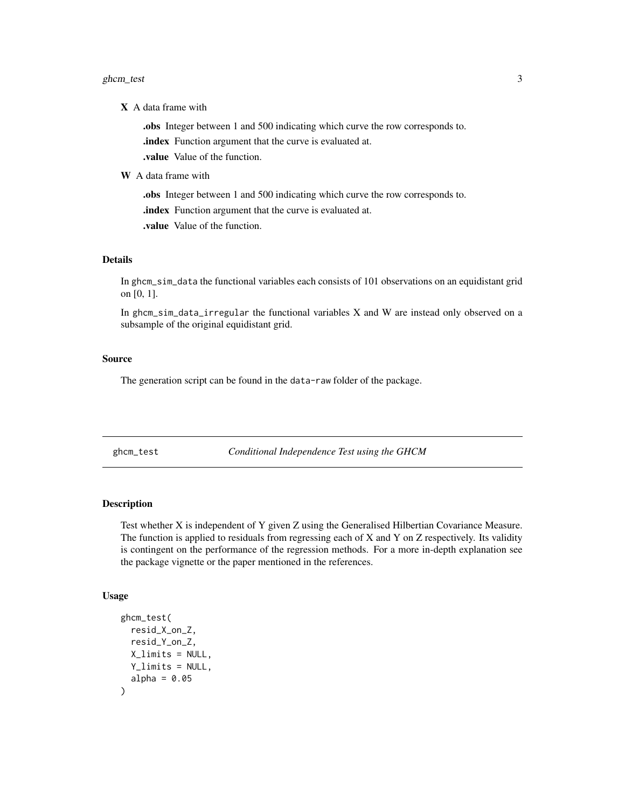#### <span id="page-2-0"></span>ghcm\_test 3

X A data frame with

.obs Integer between 1 and 500 indicating which curve the row corresponds to.

.index Function argument that the curve is evaluated at.

.value Value of the function.

W A data frame with

.obs Integer between 1 and 500 indicating which curve the row corresponds to.

.index Function argument that the curve is evaluated at.

.value Value of the function.

#### Details

In ghcm\_sim\_data the functional variables each consists of 101 observations on an equidistant grid on [0, 1].

In ghcm\_sim\_data\_irregular the functional variables X and W are instead only observed on a subsample of the original equidistant grid.

#### Source

The generation script can be found in the data-raw folder of the package.

ghcm\_test *Conditional Independence Test using the GHCM*

#### Description

Test whether X is independent of Y given Z using the Generalised Hilbertian Covariance Measure. The function is applied to residuals from regressing each of X and Y on Z respectively. Its validity is contingent on the performance of the regression methods. For a more in-depth explanation see the package vignette or the paper mentioned in the references.

#### Usage

```
ghcm_test(
  resid_X_on_Z,
  resid_Y_on_Z,
  X<sup>Iimits = NULL</sup>,
  Y_limits = NULL,
  alpha = 0.05)
```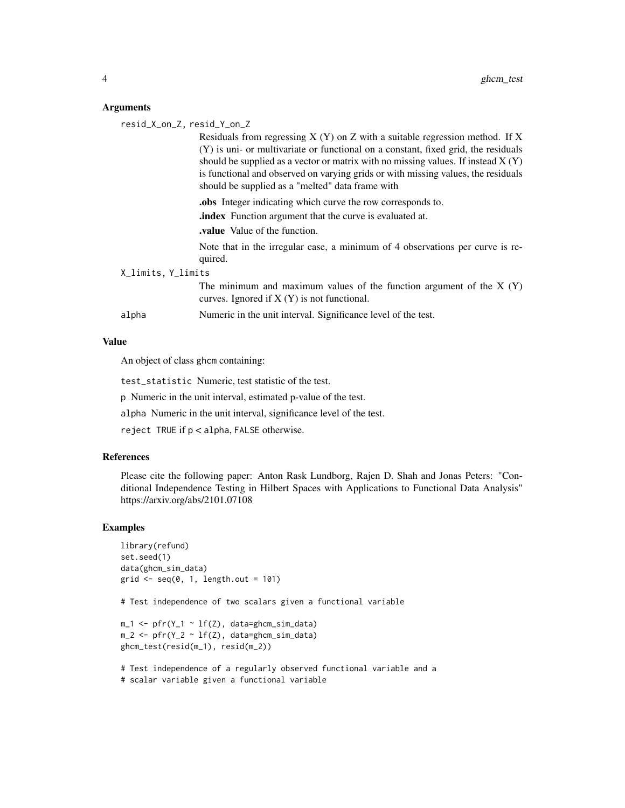#### Arguments

| resid_X_on_Z, resid_Y_on_Z |                                                                                          |
|----------------------------|------------------------------------------------------------------------------------------|
|                            | Residuals from regressing $X(Y)$ on $Z$ with a suitable regression method. If $X$        |
|                            | (Y) is uni- or multivariate or functional on a constant, fixed grid, the residuals       |
|                            | should be supplied as a vector or matrix with no missing values. If instead $X(Y)$       |
|                            | is functional and observed on varying grids or with missing values, the residuals        |
|                            | should be supplied as a "melted" data frame with                                         |
|                            | <b>obs</b> Integer indicating which curve the row corresponds to.                        |
|                            | <b>index</b> Function argument that the curve is evaluated at.                           |
|                            | <b>value</b> Value of the function.                                                      |
|                            | Note that in the irregular case, a minimum of 4 observations per curve is re-<br>quired. |
| X_limits, Y_limits         |                                                                                          |
|                            | The minimum and maximum values of the function argument of the $X(Y)$                    |
|                            | curves. Ignored if $X(Y)$ is not functional.                                             |
| alpha                      | Numeric in the unit interval. Significance level of the test.                            |
|                            |                                                                                          |

#### Value

An object of class ghcm containing:

test\_statistic Numeric, test statistic of the test.

p Numeric in the unit interval, estimated p-value of the test.

alpha Numeric in the unit interval, significance level of the test.

reject TRUE if p < alpha, FALSE otherwise.

#### References

Please cite the following paper: Anton Rask Lundborg, Rajen D. Shah and Jonas Peters: "Conditional Independence Testing in Hilbert Spaces with Applications to Functional Data Analysis" https://arxiv.org/abs/2101.07108

#### Examples

```
library(refund)
set.seed(1)
data(ghcm_sim_data)
grid \leq seq(0, 1, length.out = 101)
```
# Test independence of two scalars given a functional variable

 $m_1$  <- pfr(Y\_1 ~ lf(Z), data=ghcm\_sim\_data)  $m_2$  <-  $pfr(Y_2 \sim 1f(Z), data=ghcm_sim_data)$ ghcm\_test(resid(m\_1), resid(m\_2))

# Test independence of a regularly observed functional variable and a # scalar variable given a functional variable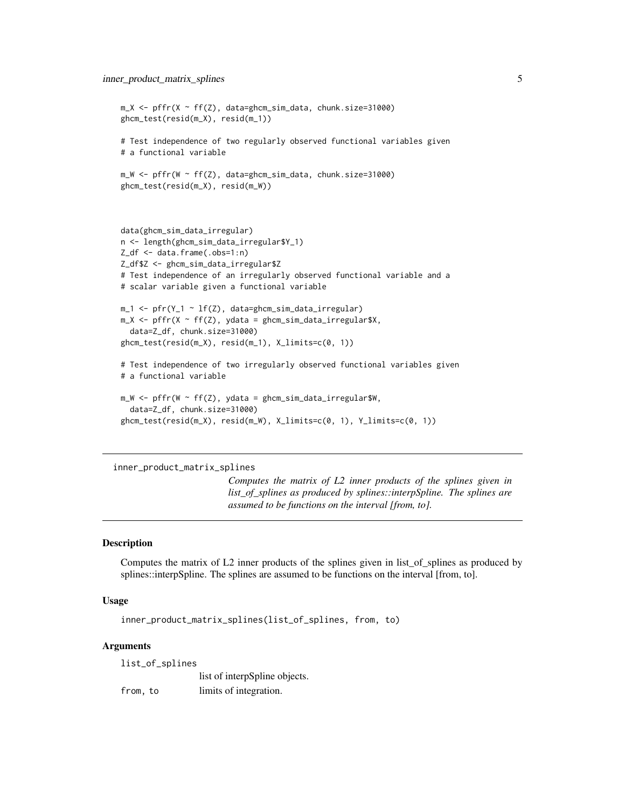```
m_X <- pffr(X ~ ff(Z), data=ghcm_sim_data, chunk.size=31000)
ghcm_test(resid(m_X), resid(m_1))
# Test independence of two regularly observed functional variables given
# a functional variable
m_W <- pffr(W ~ ff(Z), data=ghcm_sim_data, chunk.size=31000)
ghcm_test(resid(m_X), resid(m_W))
data(ghcm_sim_data_irregular)
n <- length(ghcm_sim_data_irregular$Y_1)
Z_df <- data.frame(.obs=1:n)
Z_df$Z <- ghcm_sim_data_irregular$Z
# Test independence of an irregularly observed functional variable and a
# scalar variable given a functional variable
m_1 <- pfr(Y_1 \sim lf(Z), data=ghcm_sim_data_irregular)
m_X \leq -pffr(X ~ ff(Z), ydata = ghcm_sim_data_irregular$X,
  data=Z_df, chunk.size=31000)
ghcm_test(resid(m_X), resid(m_1), X_limits=c(0, 1))
# Test independence of two irregularly observed functional variables given
# a functional variable
m_W < -pffr(W \sim ff(Z), ydata = ghcm_sim_data\_irregular$W,data=Z_df, chunk.size=31000)
ghcm_test(resid(m_X), resid(m_W), X_limits=c(0, 1), Y_limits=c(0, 1))
```

```
inner_product_matrix_splines
```
*Computes the matrix of L2 inner products of the splines given in list\_of\_splines as produced by splines::interpSpline. The splines are assumed to be functions on the interval [from, to].*

#### Description

Computes the matrix of L2 inner products of the splines given in list of splines as produced by splines::interpSpline. The splines are assumed to be functions on the interval [from, to].

#### Usage

```
inner_product_matrix_splines(list_of_splines, from, to)
```
#### Arguments

list\_of\_splines

list of interpSpline objects.

from, to limits of integration.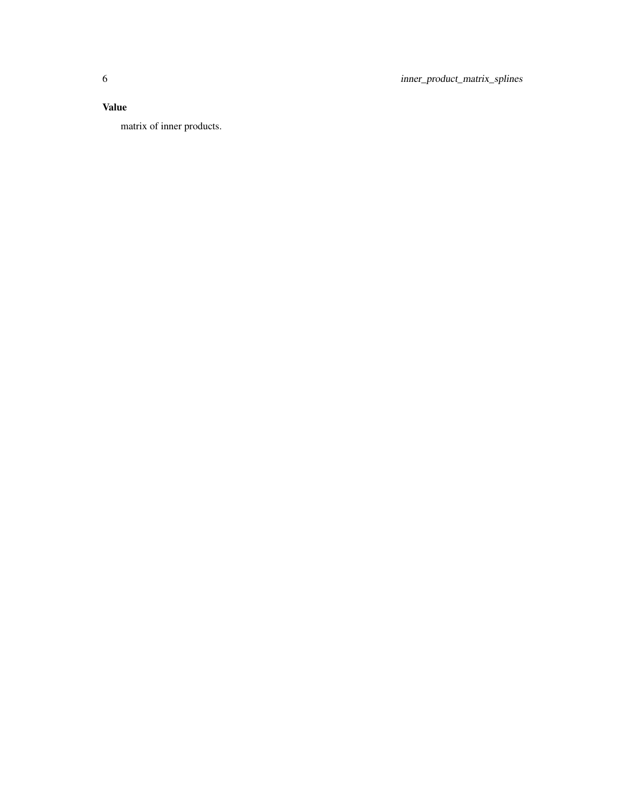6 inner\_product\_matrix\_splines

#### Value

matrix of inner products.